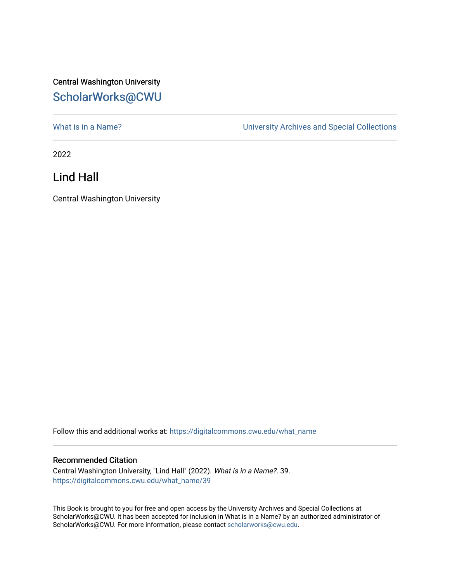## Central Washington University [ScholarWorks@CWU](https://digitalcommons.cwu.edu/)

What is in a Name?<br>
University Archives and Special Collections

2022

Lind Hall

Central Washington University

Follow this and additional works at: [https://digitalcommons.cwu.edu/what\\_name](https://digitalcommons.cwu.edu/what_name?utm_source=digitalcommons.cwu.edu%2Fwhat_name%2F39&utm_medium=PDF&utm_campaign=PDFCoverPages) 

## Recommended Citation

Central Washington University, "Lind Hall" (2022). What is in a Name?. 39. [https://digitalcommons.cwu.edu/what\\_name/39](https://digitalcommons.cwu.edu/what_name/39?utm_source=digitalcommons.cwu.edu%2Fwhat_name%2F39&utm_medium=PDF&utm_campaign=PDFCoverPages) 

This Book is brought to you for free and open access by the University Archives and Special Collections at ScholarWorks@CWU. It has been accepted for inclusion in What is in a Name? by an authorized administrator of ScholarWorks@CWU. For more information, please contact [scholarworks@cwu.edu](mailto:scholarworks@cwu.edu).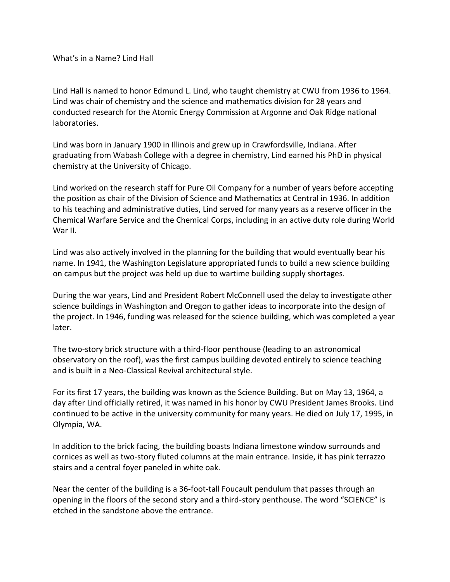What's in a Name? Lind Hall

Lind Hall is named to honor Edmund L. Lind, who taught chemistry at CWU from 1936 to 1964. Lind was chair of chemistry and the science and mathematics division for 28 years and conducted research for the Atomic Energy Commission at Argonne and Oak Ridge national laboratories.

Lind was born in January 1900 in Illinois and grew up in Crawfordsville, Indiana. After graduating from Wabash College with a degree in chemistry, Lind earned his PhD in physical chemistry at the University of Chicago.

Lind worked on the research staff for Pure Oil Company for a number of years before accepting the position as chair of the Division of Science and Mathematics at Central in 1936. In addition to his teaching and administrative duties, Lind served for many years as a reserve officer in the Chemical Warfare Service and the Chemical Corps, including in an active duty role during World War II.

Lind was also actively involved in the planning for the building that would eventually bear his name. In 1941, the Washington Legislature appropriated funds to build a new science building on campus but the project was held up due to wartime building supply shortages.

During the war years, Lind and President Robert McConnell used the delay to investigate other science buildings in Washington and Oregon to gather ideas to incorporate into the design of the project. In 1946, funding was released for the science building, which was completed a year later.

The two-story brick structure with a third-floor penthouse (leading to an astronomical observatory on the roof), was the first campus building devoted entirely to science teaching and is built in a Neo-Classical Revival architectural style.

For its first 17 years, the building was known as the Science Building. But on May 13, 1964, a day after Lind officially retired, it was named in his honor by CWU President James Brooks. Lind continued to be active in the university community for many years. He died on July 17, 1995, in Olympia, WA.

In addition to the brick facing, the building boasts Indiana limestone window surrounds and cornices as well as two-story fluted columns at the main entrance. Inside, it has pink terrazzo stairs and a central foyer paneled in white oak.

Near the center of the building is a 36-foot-tall Foucault pendulum that passes through an opening in the floors of the second story and a third-story penthouse. The word "SCIENCE" is etched in the sandstone above the entrance.